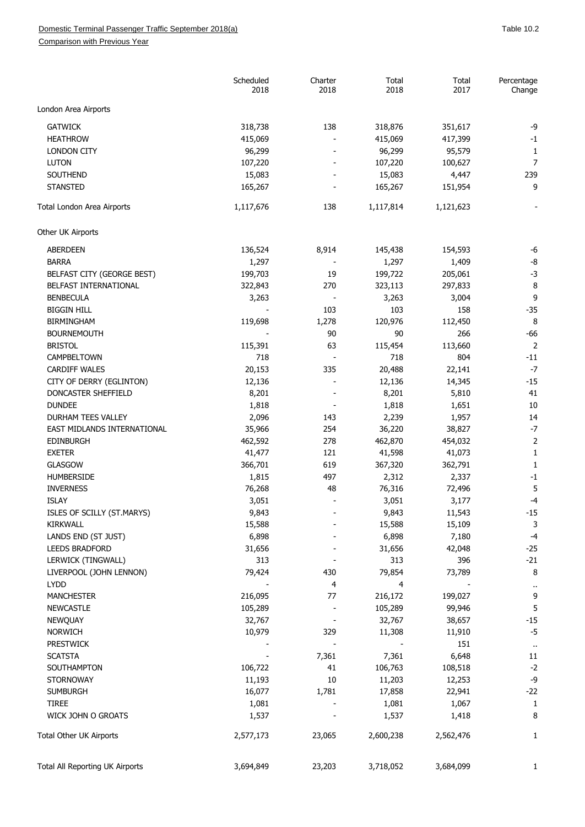Comparison with Previous Year

|                                 | Scheduled<br>2018 | Charter<br>2018          | Total<br>2018 | Total<br>2017 | Percentage<br>Change      |
|---------------------------------|-------------------|--------------------------|---------------|---------------|---------------------------|
| London Area Airports            |                   |                          |               |               |                           |
| <b>GATWICK</b>                  | 318,738           | 138                      | 318,876       | 351,617       | $-9$                      |
| <b>HEATHROW</b>                 | 415,069           |                          | 415,069       | 417,399       | $-1$                      |
| <b>LONDON CITY</b>              | 96,299            |                          | 96,299        | 95,579        |                           |
| LUTON                           | 107,220           |                          | 107,220       | 100,627       | 1<br>$\overline{7}$       |
| SOUTHEND                        | 15,083            |                          | 15,083        | 4,447         | 239                       |
| <b>STANSTED</b>                 | 165,267           |                          | 165,267       | 151,954       | 9                         |
|                                 |                   |                          |               |               |                           |
| Total London Area Airports      | 1,117,676         | 138                      | 1,117,814     | 1,121,623     |                           |
| Other UK Airports               |                   |                          |               |               |                           |
| <b>ABERDEEN</b>                 | 136,524           | 8,914                    | 145,438       | 154,593       | -6                        |
| <b>BARRA</b>                    | 1,297             |                          | 1,297         | 1,409         | -8                        |
| BELFAST CITY (GEORGE BEST)      | 199,703           | 19                       | 199,722       | 205,061       | $-3$                      |
| BELFAST INTERNATIONAL           | 322,843           | 270                      | 323,113       | 297,833       | 8                         |
| <b>BENBECULA</b>                | 3,263             |                          | 3,263         | 3,004         | 9                         |
| <b>BIGGIN HILL</b>              |                   | 103                      | 103           | 158           | $-35$                     |
| <b>BIRMINGHAM</b>               | 119,698           | 1,278                    | 120,976       | 112,450       | 8                         |
| <b>BOURNEMOUTH</b>              |                   | 90                       | 90            | 266           | $-66$                     |
| <b>BRISTOL</b>                  | 115,391           | 63                       | 115,454       | 113,660       | $\overline{c}$            |
| CAMPBELTOWN                     | 718               | $\overline{\phantom{a}}$ | 718           | 804           | -11                       |
| <b>CARDIFF WALES</b>            | 20,153            | 335                      | 20,488        | 22,141        | $-7$                      |
| CITY OF DERRY (EGLINTON)        | 12,136            | $\overline{\phantom{a}}$ | 12,136        | 14,345        | $-15$                     |
| DONCASTER SHEFFIELD             | 8,201             |                          | 8,201         | 5,810         | 41                        |
| <b>DUNDEE</b>                   | 1,818             |                          | 1,818         | 1,651         | 10                        |
| <b>DURHAM TEES VALLEY</b>       | 2,096             | 143                      | 2,239         | 1,957         | 14                        |
| EAST MIDLANDS INTERNATIONAL     | 35,966            | 254                      | 36,220        | 38,827        | $-7$                      |
| <b>EDINBURGH</b>                | 462,592           | 278                      | 462,870       | 454,032       | $\overline{\mathbf{c}}$   |
| <b>EXETER</b>                   | 41,477            | 121                      | 41,598        | 41,073        | 1                         |
| <b>GLASGOW</b>                  | 366,701           | 619                      | 367,320       | 362,791       | 1                         |
| <b>HUMBERSIDE</b>               | 1,815             | 497                      | 2,312         | 2,337         | $-1$                      |
| <b>INVERNESS</b>                | 76,268            | 48                       | 76,316        | 72,496        | 5                         |
| <b>ISLAY</b>                    | 3,051             |                          | 3,051         | 3,177         | -4                        |
| ISLES OF SCILLY (ST.MARYS)      | 9,843             |                          | 9,843         | 11,543        | $-15$                     |
| <b>KIRKWALL</b>                 | 15,588            |                          | 15,588        | 15,109        | 3                         |
| LANDS END (ST JUST)             | 6,898             |                          | 6,898         | 7,180         | $-4$                      |
| <b>LEEDS BRADFORD</b>           | 31,656            |                          | 31,656        | 42,048        | $-25$                     |
| LERWICK (TINGWALL)              | 313               |                          | 313           | 396           | $-21$                     |
| LIVERPOOL (JOHN LENNON)         | 79,424            | 430                      | 79,854        | 73,789        | 8                         |
| <b>LYDD</b>                     |                   | 4                        | 4             |               |                           |
| <b>MANCHESTER</b>               | 216,095           | 77                       | 216,172       | 199,027       | $\ddot{\phantom{0}}$<br>9 |
| <b>NEWCASTLE</b>                | 105,289           |                          | 105,289       | 99,946        | 5                         |
|                                 | 32,767            |                          | 32,767        | 38,657        | $-15$                     |
| <b>NEWQUAY</b>                  |                   |                          |               |               |                           |
| <b>NORWICH</b>                  | 10,979            | 329                      | 11,308        | 11,910        | $-5$                      |
| <b>PRESTWICK</b>                |                   |                          |               | 151           | $\ddot{\phantom{1}}$      |
| <b>SCATSTA</b>                  |                   | 7,361                    | 7,361         | 6,648         | 11                        |
| SOUTHAMPTON                     | 106,722           | 41                       | 106,763       | 108,518       | $-2$                      |
| <b>STORNOWAY</b>                | 11,193            | 10                       | 11,203        | 12,253        | -9                        |
| <b>SUMBURGH</b>                 | 16,077            | 1,781                    | 17,858        | 22,941        | $-22$                     |
| <b>TIREE</b>                    | 1,081             |                          | 1,081         | 1,067         | $\mathbf{1}$              |
| WICK JOHN O GROATS              | 1,537             |                          | 1,537         | 1,418         | 8                         |
| Total Other UK Airports         | 2,577,173         | 23,065                   | 2,600,238     | 2,562,476     | 1                         |
| Total All Reporting UK Airports | 3,694,849         | 23,203                   | 3,718,052     | 3,684,099     | 1                         |